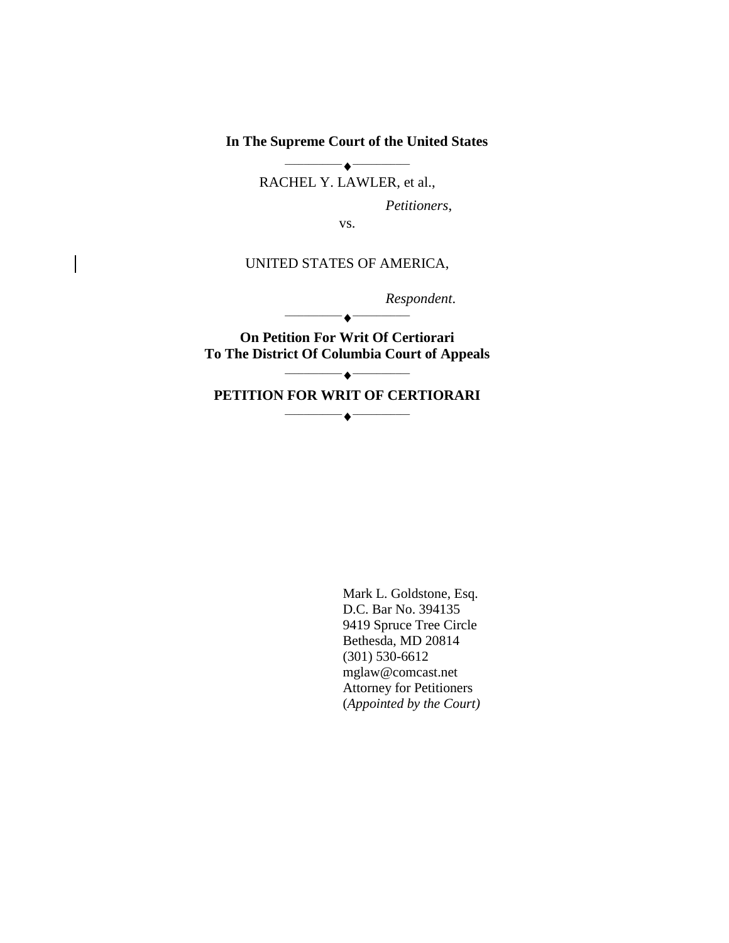**In The Supreme Court of the United States**

 $\overline{\phantom{a}}\hspace{0.08cm}$ RACHEL Y. LAWLER, et al.,

*Petitioners*,

vs.

## UNITED STATES OF AMERICA,

*Respondent*.

**On Petition For Writ Of Certiorari To The District Of Columbia Court of Appeals**

 $-\bullet$  —

**PETITION FOR WRIT OF CERTIORARI**  $\overline{\phantom{a}}$ 

 $\overline{\phantom{a}}$ 

Mark L. Goldstone, Esq. D.C. Bar No. 394135 9419 Spruce Tree Circle Bethesda, MD 20814 (301) 530-6612 mglaw@comcast.net Attorney for Petitioners (*Appointed by the Court)*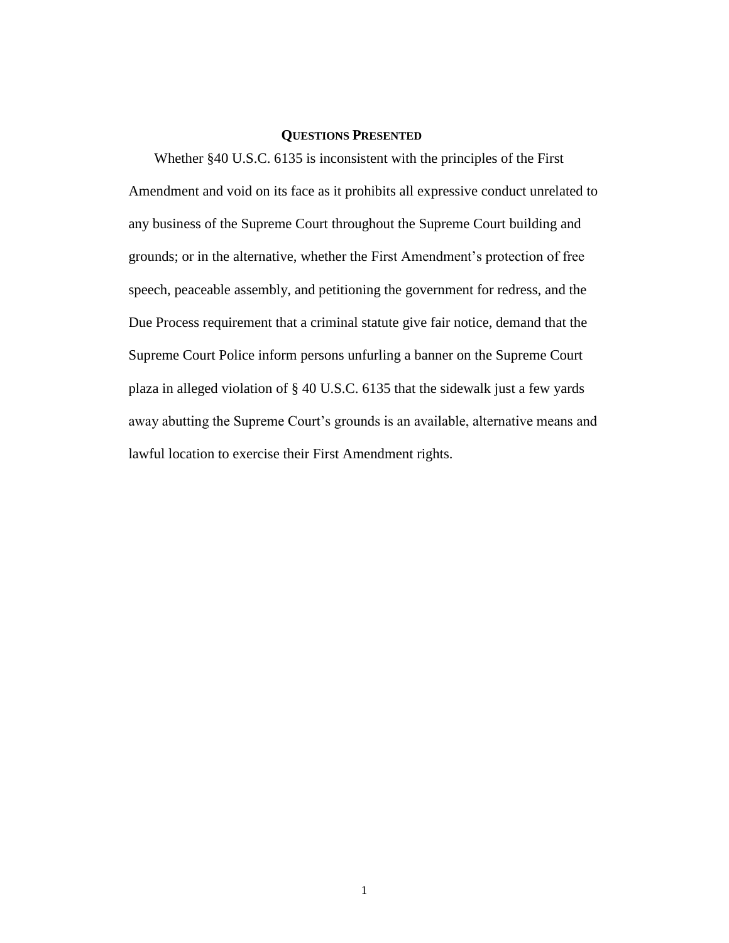### **QUESTIONS PRESENTED**

Whether §40 U.S.C. 6135 is inconsistent with the principles of the First Amendment and void on its face as it prohibits all expressive conduct unrelated to any business of the Supreme Court throughout the Supreme Court building and grounds; or in the alternative, whether the First Amendment's protection of free speech, peaceable assembly, and petitioning the government for redress, and the Due Process requirement that a criminal statute give fair notice, demand that the Supreme Court Police inform persons unfurling a banner on the Supreme Court plaza in alleged violation of § 40 U.S.C. 6135 that the sidewalk just a few yards away abutting the Supreme Court's grounds is an available, alternative means and lawful location to exercise their First Amendment rights.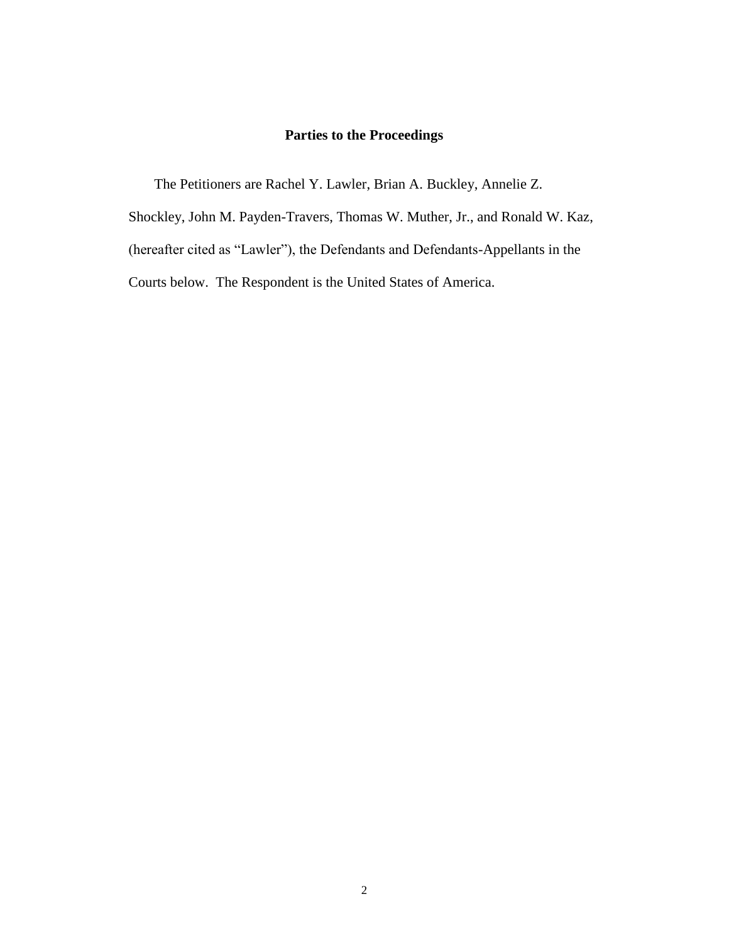# **Parties to the Proceedings**

The Petitioners are Rachel Y. Lawler, Brian A. Buckley, Annelie Z.

Shockley, John M. Payden-Travers, Thomas W. Muther, Jr., and Ronald W. Kaz,

(hereafter cited as "Lawler"), the Defendants and Defendants-Appellants in the

Courts below. The Respondent is the United States of America.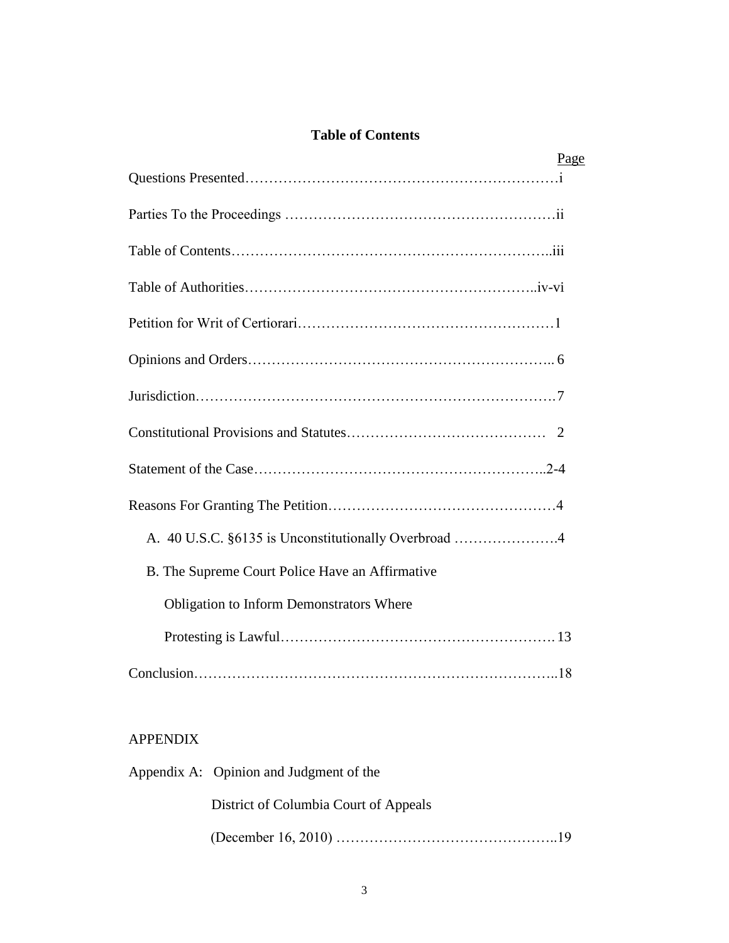# **Table of Contents**

| Page                                                 |  |
|------------------------------------------------------|--|
|                                                      |  |
|                                                      |  |
|                                                      |  |
|                                                      |  |
|                                                      |  |
|                                                      |  |
|                                                      |  |
|                                                      |  |
|                                                      |  |
|                                                      |  |
| A. 40 U.S.C. §6135 is Unconstitutionally Overbroad 4 |  |
| B. The Supreme Court Police Have an Affirmative      |  |
| <b>Obligation to Inform Demonstrators Where</b>      |  |
|                                                      |  |
|                                                      |  |

# APPENDIX

|  | Appendix A: Opinion and Judgment of the |  |
|--|-----------------------------------------|--|
|  | District of Columbia Court of Appeals   |  |
|  |                                         |  |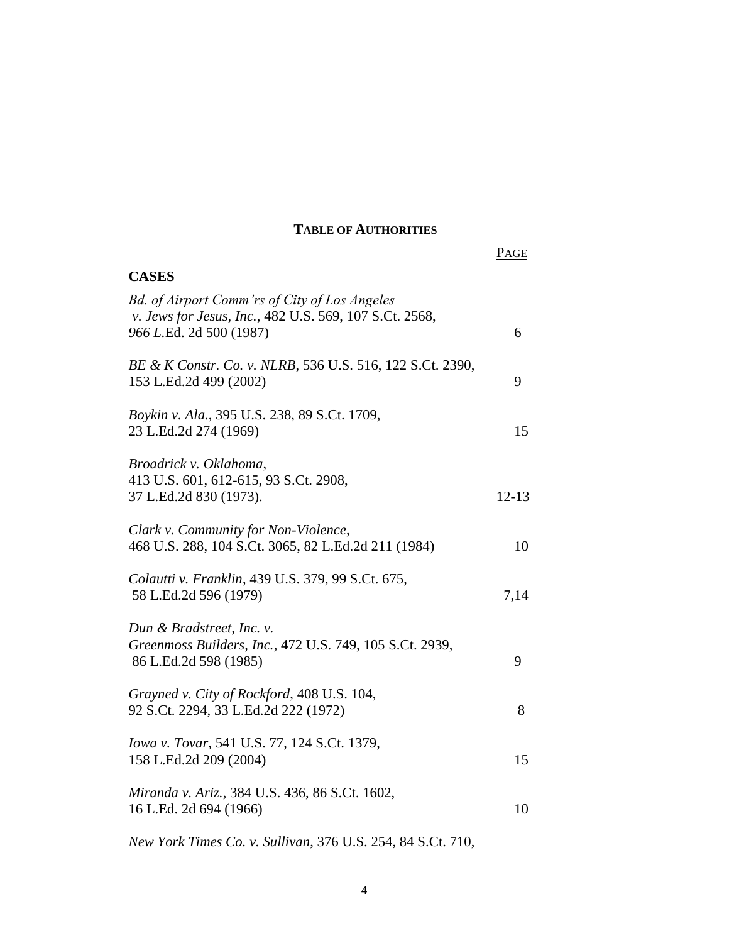## **TABLE OF AUTHORITIES**

|                                                                                                                                    | PAGE      |
|------------------------------------------------------------------------------------------------------------------------------------|-----------|
| <b>CASES</b>                                                                                                                       |           |
| Bd. of Airport Comm'rs of City of Los Angeles<br>v. Jews for Jesus, Inc., 482 U.S. 569, 107 S.Ct. 2568,<br>966 L.Ed. 2d 500 (1987) | 6         |
| BE & K Constr. Co. v. NLRB, 536 U.S. 516, 122 S.Ct. 2390,<br>153 L.Ed.2d 499 (2002)                                                | 9         |
| Boykin v. Ala., 395 U.S. 238, 89 S.Ct. 1709,<br>23 L.Ed.2d 274 (1969)                                                              | 15        |
| Broadrick v. Oklahoma,<br>413 U.S. 601, 612-615, 93 S.Ct. 2908,<br>37 L.Ed.2d 830 (1973).                                          | $12 - 13$ |
| Clark v. Community for Non-Violence,<br>468 U.S. 288, 104 S.Ct. 3065, 82 L.Ed.2d 211 (1984)                                        | 10        |
| Colautti v. Franklin, 439 U.S. 379, 99 S.Ct. 675,<br>58 L.Ed.2d 596 (1979)                                                         | 7,14      |
| Dun & Bradstreet, Inc. v.<br>Greenmoss Builders, Inc., 472 U.S. 749, 105 S.Ct. 2939,<br>86 L.Ed.2d 598 (1985)                      | 9         |
| Grayned v. City of Rockford, 408 U.S. 104,<br>92 S.Ct. 2294, 33 L.Ed.2d 222 (1972)                                                 | 8         |
| Iowa v. Tovar, 541 U.S. 77, 124 S.Ct. 1379,<br>158 L.Ed.2d 209 (2004)                                                              | 15        |
| Miranda v. Ariz., 384 U.S. 436, 86 S.Ct. 1602,<br>16 L.Ed. 2d 694 (1966)                                                           | 10        |
| New York Times Co. v. Sullivan, 376 U.S. 254, 84 S.Ct. 710,                                                                        |           |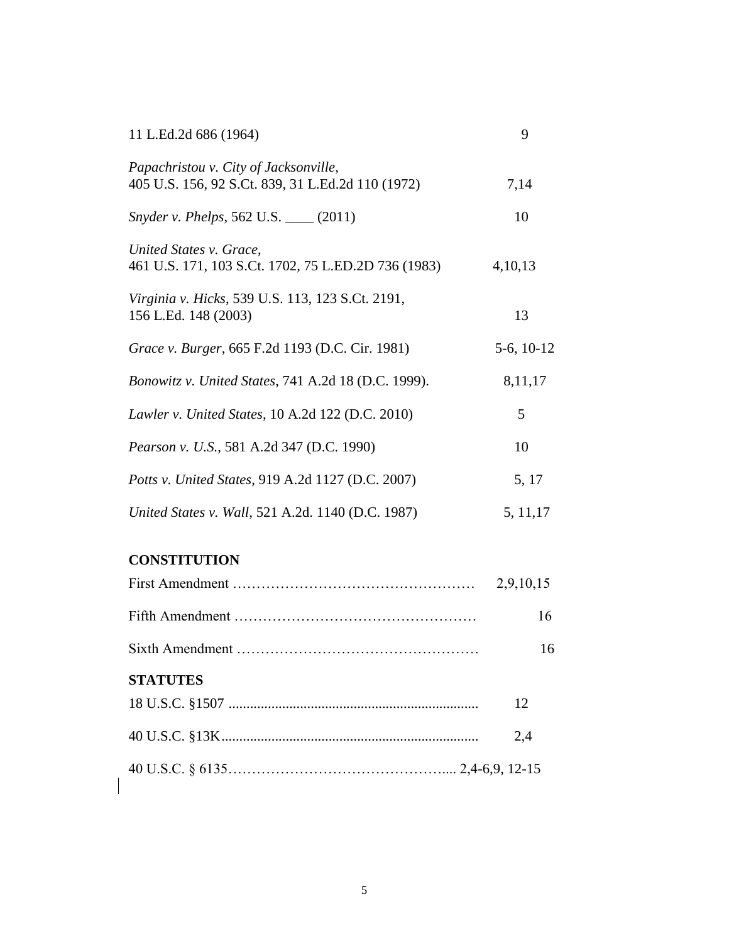| 11 L.Ed.2d 686 (1964)                                                                      | 9               |
|--------------------------------------------------------------------------------------------|-----------------|
| Papachristou v. City of Jacksonville,<br>405 U.S. 156, 92 S.Ct. 839, 31 L.Ed.2d 110 (1972) | 7,14            |
| <i>Snyder v. Phelps</i> , 562 U.S. ____ (2011)                                             | 10              |
| United States v. Grace,<br>461 U.S. 171, 103 S.Ct. 1702, 75 L.ED.2D 736 (1983)             | 4,10,13         |
| Virginia v. Hicks, 539 U.S. 113, 123 S.Ct. 2191,<br>156 L.Ed. 148 (2003)                   | 13              |
| Grace v. Burger, 665 F.2d 1193 (D.C. Cir. 1981)                                            | $5-6$ , $10-12$ |
| Bonowitz v. United States, 741 A.2d 18 (D.C. 1999).                                        | 8,11,17         |
| Lawler v. United States, 10 A.2d 122 (D.C. 2010)                                           | 5               |
| Pearson v. U.S., 581 A.2d 347 (D.C. 1990)                                                  | 10              |
| Potts v. United States, 919 A.2d 1127 (D.C. 2007)                                          | 5, 17           |
| United States v. Wall, 521 A.2d. 1140 (D.C. 1987)                                          | 5, 11, 17       |

# **CONSTITUTION**

 $\overline{\phantom{a}}$ 

|                 | 2,9,10,15 |
|-----------------|-----------|
|                 | 16        |
|                 | 16        |
| <b>STATUTES</b> |           |
|                 | 12        |
|                 | 2.4       |
|                 |           |
|                 |           |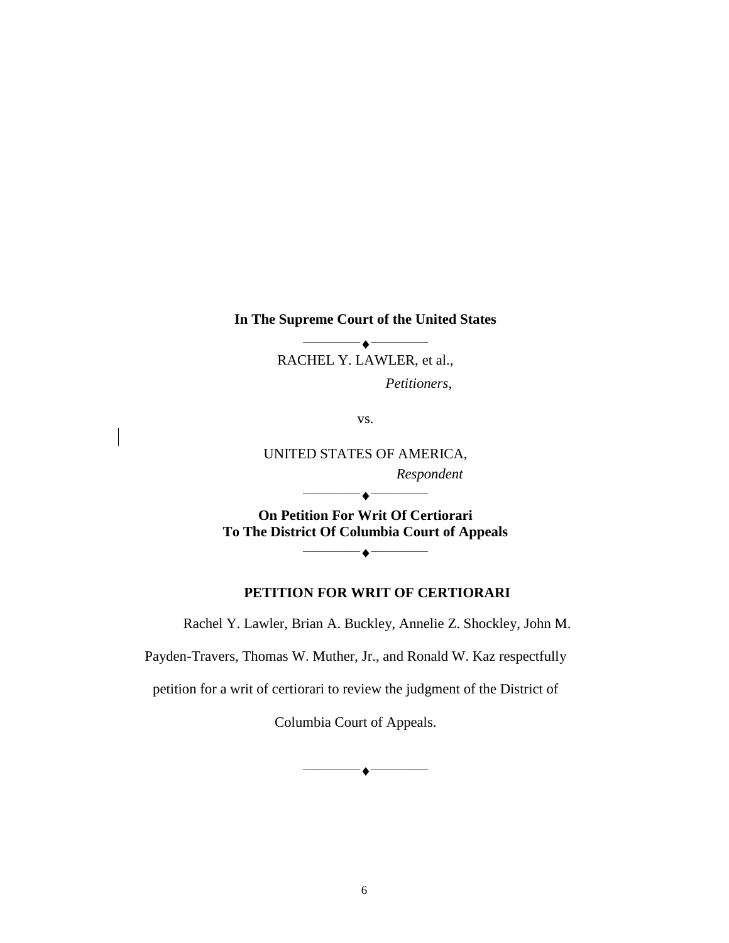#### **In The Supreme Court of the United States**

 $\bullet$   $-$ RACHEL Y. LAWLER, et al.,

*Petitioners*,

vs.

UNITED STATES OF AMERICA, *Respondent*

**On Petition For Writ Of Certiorari To The District Of Columbia Court of Appeals**

 $-\blacklozenge -$ 

 $-\triangle$  –

### **PETITION FOR WRIT OF CERTIORARI**

Rachel Y. Lawler, Brian A. Buckley, Annelie Z. Shockley, John M.

Payden-Travers, Thomas W. Muther, Jr., and Ronald W. Kaz respectfully

petition for a writ of certiorari to review the judgment of the District of

Columbia Court of Appeals.

 $\overline{\phantom{a}}\hspace{0.08cm}$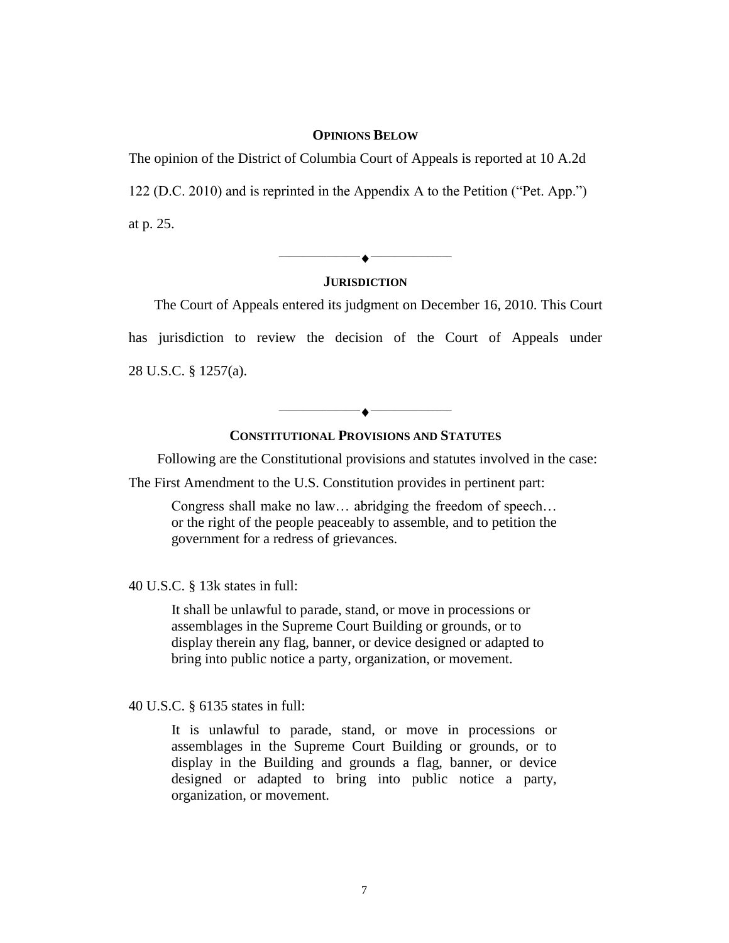#### **OPINIONS BELOW**

The opinion of the District of Columbia Court of Appeals is reported at 10 A.2d 122 (D.C. 2010) and is reprinted in the Appendix A to the Petition ( $Pet.$  App.") at p. 25.

\_\_\_\_\_\_\_\_\_\_\_\_\_\_\_\_\_ \_\_\_\_\_\_\_\_\_\_\_\_\_\_\_\_\_

### **JURISDICTION**

The Court of Appeals entered its judgment on December 16, 2010. This Court has jurisdiction to review the decision of the Court of Appeals under 28 U.S.C. § 1257(a).

## **CONSTITUTIONAL PROVISIONS AND STATUTES**

Following are the Constitutional provisions and statutes involved in the case:

 $\bullet$  ——————

The First Amendment to the U.S. Constitution provides in pertinent part:

Congress shall make no law… abridging the freedom of speech… or the right of the people peaceably to assemble, and to petition the government for a redress of grievances.

40 U.S.C. § 13k states in full:

It shall be unlawful to parade, stand, or move in processions or assemblages in the Supreme Court Building or grounds, or to display therein any flag, banner, or device designed or adapted to bring into public notice a party, organization, or movement.

40 U.S.C. § 6135 states in full:

It is unlawful to parade, stand, or move in processions or assemblages in the Supreme Court Building or grounds, or to display in the Building and grounds a flag, banner, or device designed or adapted to bring into public notice a party, organization, or movement.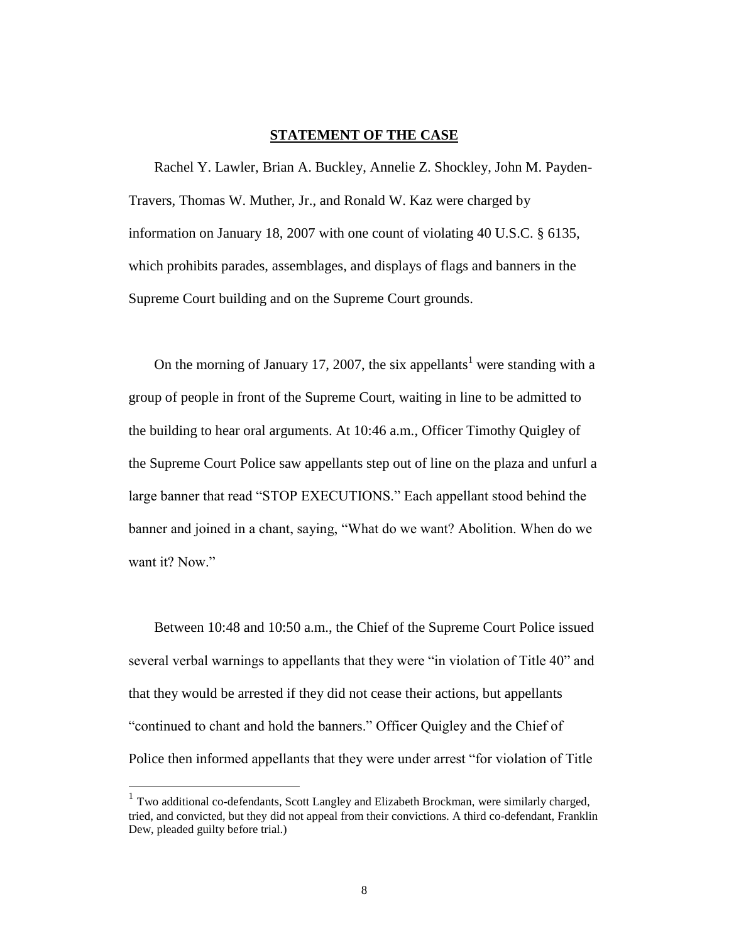#### **STATEMENT OF THE CASE**

Rachel Y. Lawler, Brian A. Buckley, Annelie Z. Shockley, John M. Payden-Travers, Thomas W. Muther, Jr., and Ronald W. Kaz were charged by information on January 18, 2007 with one count of violating 40 U.S.C. § 6135, which prohibits parades, assemblages, and displays of flags and banners in the Supreme Court building and on the Supreme Court grounds.

On the morning of January 17, 2007, the six appellants<sup>1</sup> were standing with a group of people in front of the Supreme Court, waiting in line to be admitted to the building to hear oral arguments. At 10:46 a.m., Officer Timothy Quigley of the Supreme Court Police saw appellants step out of line on the plaza and unfurl a large banner that read "STOP EXECUTIONS." Each appellant stood behind the banner and joined in a chant, saying, "What do we want? Abolition. When do we want it? Now."

Between 10:48 and 10:50 a.m., the Chief of the Supreme Court Police issued several verbal warnings to appellants that they were "in violation of Title 40" and that they would be arrested if they did not cease their actions, but appellants "continued to chant and hold the banners." Officer Quigley and the Chief of Police then informed appellants that they were under arrest "for violation of Title"

 $\overline{a}$ 

<sup>&</sup>lt;sup>1</sup> Two additional co-defendants, Scott Langley and Elizabeth Brockman, were similarly charged, tried, and convicted, but they did not appeal from their convictions. A third co-defendant, Franklin Dew, pleaded guilty before trial.)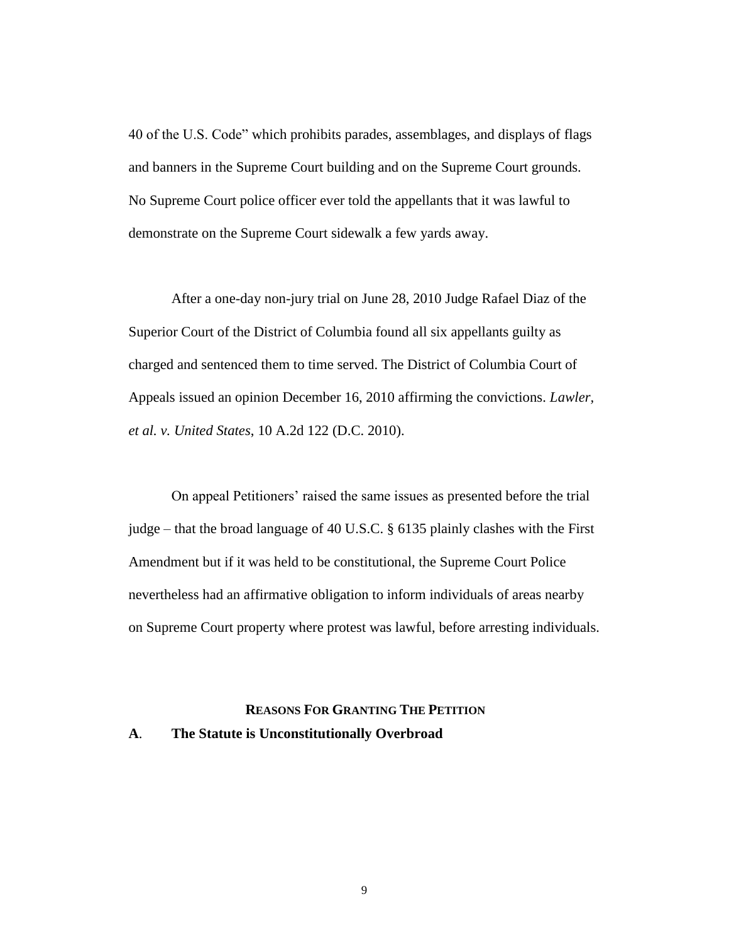40 of the U.S. Code" which prohibits parades, assemblages, and displays of flags and banners in the Supreme Court building and on the Supreme Court grounds. No Supreme Court police officer ever told the appellants that it was lawful to demonstrate on the Supreme Court sidewalk a few yards away.

After a one-day non-jury trial on June 28, 2010 Judge Rafael Diaz of the Superior Court of the District of Columbia found all six appellants guilty as charged and sentenced them to time served. The District of Columbia Court of Appeals issued an opinion December 16, 2010 affirming the convictions. *Lawler, et al. v. United States*, 10 A.2d 122 (D.C. 2010).

On appeal Petitioners' raised the same issues as presented before the trial judge – that the broad language of 40 U.S.C. § 6135 plainly clashes with the First Amendment but if it was held to be constitutional, the Supreme Court Police nevertheless had an affirmative obligation to inform individuals of areas nearby on Supreme Court property where protest was lawful, before arresting individuals.

## **REASONS FOR GRANTING THE PETITION**

### **A**. **The Statute is Unconstitutionally Overbroad**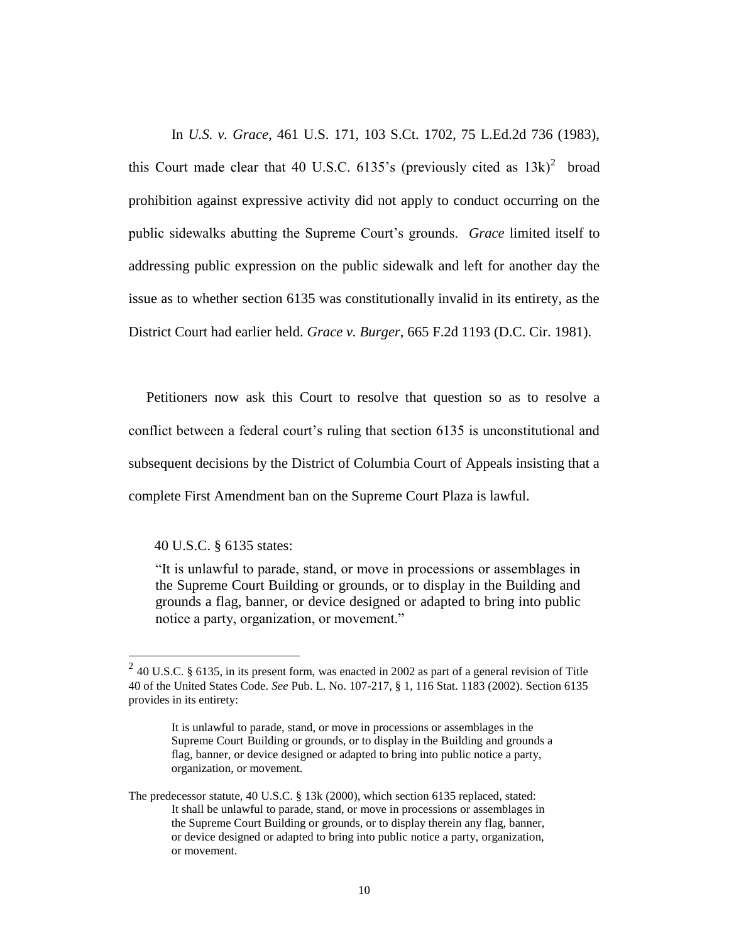In *U.S. v. Grace*, 461 U.S. 171, 103 S.Ct. 1702, 75 L.Ed.2d 736 (1983), this Court made clear that 40 U.S.C. 6135's (previously cited as  $13k$ )<sup>2</sup> broad prohibition against expressive activity did not apply to conduct occurring on the public sidewalks abutting the Supreme Court's grounds. *Grace* limited itself to addressing public expression on the public sidewalk and left for another day the issue as to whether section 6135 was constitutionally invalid in its entirety, as the District Court had earlier held. *Grace v. Burger*, 665 F.2d 1193 (D.C. Cir. 1981).

 Petitioners now ask this Court to resolve that question so as to resolve a conflict between a federal court's ruling that section 6135 is unconstitutional and subsequent decisions by the District of Columbia Court of Appeals insisting that a complete First Amendment ban on the Supreme Court Plaza is lawful.

#### 40 U.S.C. § 6135 states:

―It is unlawful to parade, stand, or move in processions or assemblages in the Supreme Court Building or grounds, or to display in the Building and grounds a flag, banner, or device designed or adapted to bring into public notice a party, organization, or movement."

<sup>&</sup>lt;sup>2</sup> 40 U.S.C. § 6135, in its present form, was enacted in 2002 as part of a general revision of Title 40 of the United States Code. *See* Pub. L. No. 107-217, § 1, 116 Stat. 1183 (2002). Section 6135 provides in its entirety:

It is unlawful to parade, stand, or move in processions or assemblages in the Supreme Court Building or grounds, or to display in the Building and grounds a flag, banner, or device designed or adapted to bring into public notice a party, organization, or movement.

The predecessor statute, 40 U.S.C. § 13k (2000), which section 6135 replaced, stated: It shall be unlawful to parade, stand, or move in processions or assemblages in the Supreme Court Building or grounds, or to display therein any flag, banner, or device designed or adapted to bring into public notice a party, organization, or movement.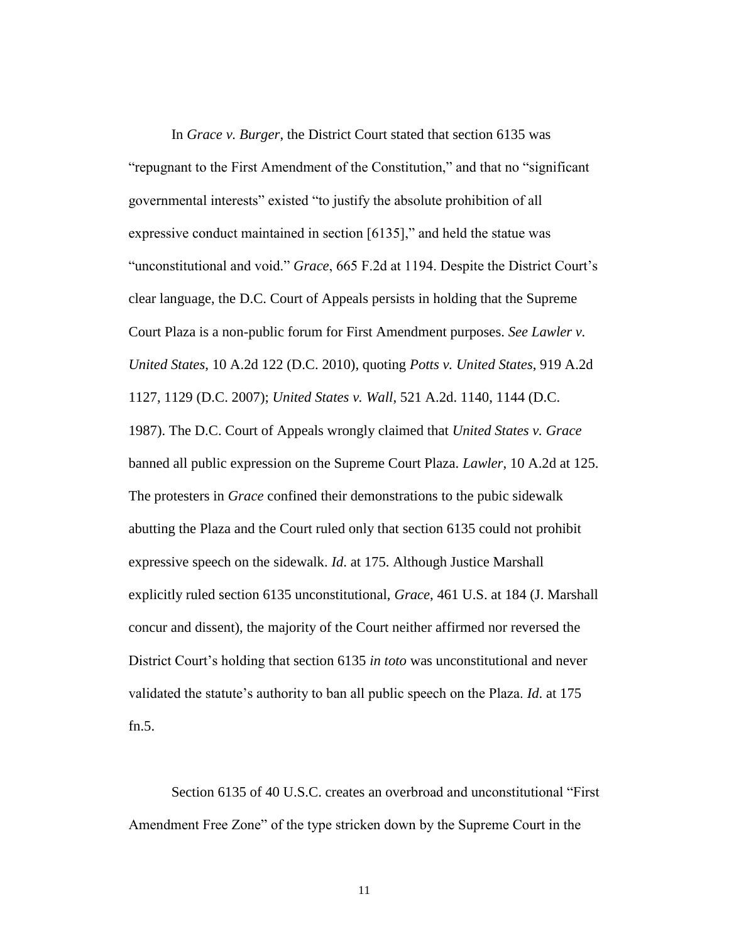In *Grace v. Burger*, the District Court stated that section 6135 was "repugnant to the First Amendment of the Constitution," and that no "significant" governmental interests" existed "to justify the absolute prohibition of all expressive conduct maintained in section  $[6135]$ ," and held the statue was "unconstitutional and void." *Grace*, 665 F.2d at 1194. Despite the District Court's clear language, the D.C. Court of Appeals persists in holding that the Supreme Court Plaza is a non-public forum for First Amendment purposes. *See Lawler v. United States*, 10 A.2d 122 (D.C. 2010), quoting *Potts v. United States*, 919 A.2d 1127, 1129 (D.C. 2007); *United States v. Wall*, 521 A.2d. 1140, 1144 (D.C. 1987). The D.C. Court of Appeals wrongly claimed that *United States v. Grace* banned all public expression on the Supreme Court Plaza. *Lawler*, 10 A.2d at 125. The protesters in *Grace* confined their demonstrations to the pubic sidewalk abutting the Plaza and the Court ruled only that section 6135 could not prohibit expressive speech on the sidewalk. *Id*. at 175. Although Justice Marshall explicitly ruled section 6135 unconstitutional, *Grace*, 461 U.S. at 184 (J. Marshall concur and dissent), the majority of the Court neither affirmed nor reversed the District Court's holding that section 6135 *in toto* was unconstitutional and never validated the statute's authority to ban all public speech on the Plaza. *Id*. at 175 fn.5.

Section 6135 of 40 U.S.C. creates an overbroad and unconstitutional "First" Amendment Free Zone" of the type stricken down by the Supreme Court in the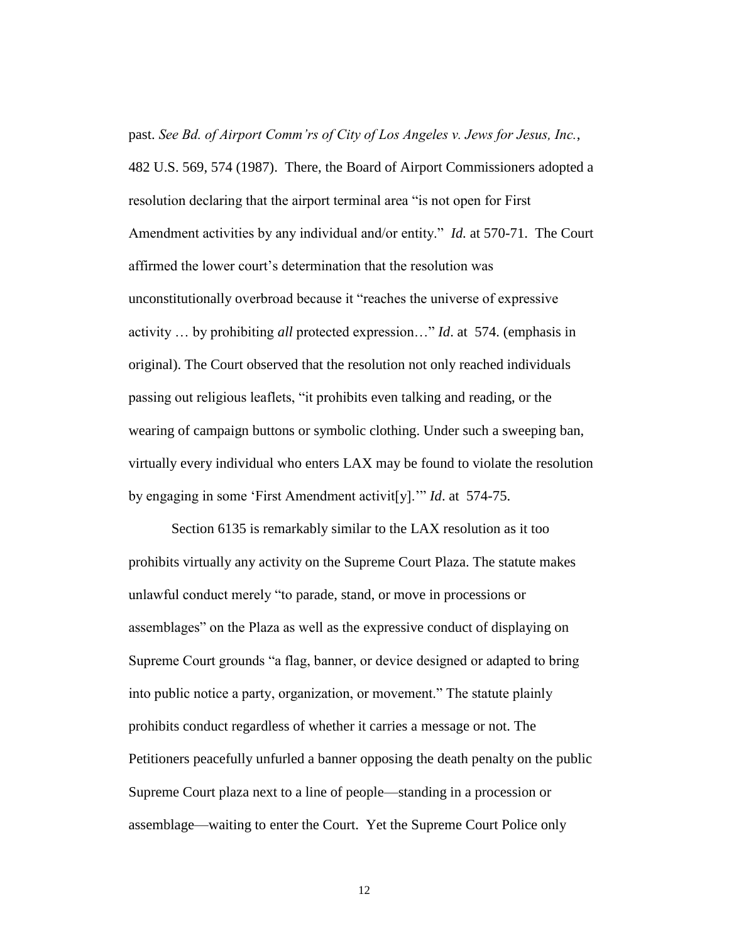past. *See Bd. of Airport Comm'rs of City of Los Angeles v. Jews for Jesus, Inc.*, 482 U.S. 569, 574 (1987). There, the Board of Airport Commissioners adopted a resolution declaring that the airport terminal area "is not open for First Amendment activities by any individual and/or entity." *Id.* at 570-71. The Court affirmed the lower court's determination that the resolution was unconstitutionally overbroad because it "reaches the universe of expressive activity ... by prohibiting *all* protected expression..." *Id.* at 574. (emphasis in original). The Court observed that the resolution not only reached individuals passing out religious leaflets, "it prohibits even talking and reading, or the wearing of campaign buttons or symbolic clothing. Under such a sweeping ban, virtually every individual who enters LAX may be found to violate the resolution by engaging in some 'First Amendment activit<sup>[y]</sup>.'" *Id.* at 574-75.

Section 6135 is remarkably similar to the LAX resolution as it too prohibits virtually any activity on the Supreme Court Plaza. The statute makes unlawful conduct merely "to parade, stand, or move in processions or assemblages" on the Plaza as well as the expressive conduct of displaying on Supreme Court grounds "a flag, banner, or device designed or adapted to bring into public notice a party, organization, or movement." The statute plainly prohibits conduct regardless of whether it carries a message or not. The Petitioners peacefully unfurled a banner opposing the death penalty on the public Supreme Court plaza next to a line of people—standing in a procession or assemblage—waiting to enter the Court. Yet the Supreme Court Police only

12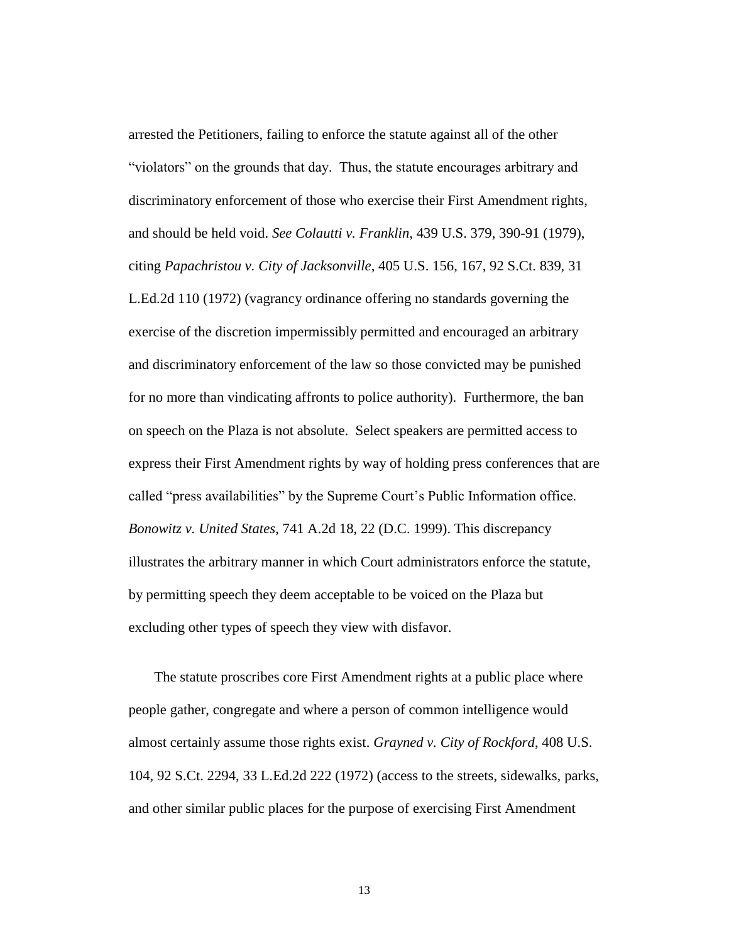arrested the Petitioners, failing to enforce the statute against all of the other "violators" on the grounds that day. Thus, the statute encourages arbitrary and discriminatory enforcement of those who exercise their First Amendment rights, and should be held void. *See Colautti v. Franklin*, 439 U.S. 379, 390-91 (1979), citing *Papachristou v. City of Jacksonville*, 405 U.S. 156, 167, 92 S.Ct. 839, 31 L.Ed.2d 110 (1972) (vagrancy ordinance offering no standards governing the exercise of the discretion impermissibly permitted and encouraged an arbitrary and discriminatory enforcement of the law so those convicted may be punished for no more than vindicating affronts to police authority). Furthermore, the ban on speech on the Plaza is not absolute. Select speakers are permitted access to express their First Amendment rights by way of holding press conferences that are called "press availabilities" by the Supreme Court's Public Information office. *Bonowitz v. United States*, 741 A.2d 18, 22 (D.C. 1999). This discrepancy illustrates the arbitrary manner in which Court administrators enforce the statute, by permitting speech they deem acceptable to be voiced on the Plaza but excluding other types of speech they view with disfavor.

The statute proscribes core First Amendment rights at a public place where people gather, congregate and where a person of common intelligence would almost certainly assume those rights exist. *Grayned v. City of Rockford*, 408 U.S. 104, 92 S.Ct. 2294, 33 L.Ed.2d 222 (1972) (access to the streets, sidewalks, parks, and other similar public places for the purpose of exercising First Amendment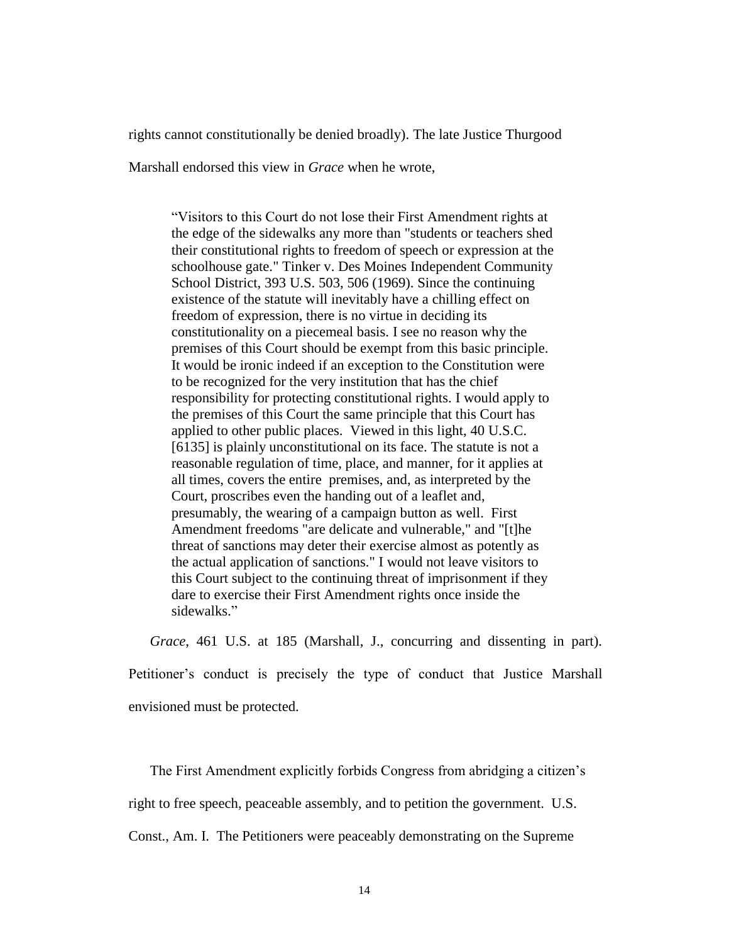rights cannot constitutionally be denied broadly). The late Justice Thurgood

Marshall endorsed this view in *Grace* when he wrote,

―Visitors to this Court do not lose their First Amendment rights at the edge of the sidewalks any more than "students or teachers shed their constitutional rights to freedom of speech or expression at the schoolhouse gate." Tinker v. Des Moines Independent Community School District, [393 U.S. 503, 506](http://caselaw.lp.findlaw.com/cgi-bin/getcase.pl?navby=case&court=us&vol=393&invol=503#506) (1969). Since the continuing existence of the statute will inevitably have a chilling effect on freedom of expression, there is no virtue in deciding its constitutionality on a piecemeal basis. I see no reason why the premises of this Court should be exempt from this basic principle. It would be ironic indeed if an exception to the Constitution were to be recognized for the very institution that has the chief responsibility for protecting constitutional rights. I would apply to the premises of this Court the same principle that this Court has applied to other public places. Viewed in this light, 40 U.S.C. [6135] is plainly unconstitutional on its face. The statute is not a reasonable regulation of time, place, and manner, for it applies at all times, covers the entire premises, and, as interpreted by the Court, proscribes even the handing out of a leaflet and, presumably, the wearing of a campaign button as well. First Amendment freedoms "are delicate and vulnerable," and "[t]he threat of sanctions may deter their exercise almost as potently as the actual application of sanctions." I would not leave visitors to this Court subject to the continuing threat of imprisonment if they dare to exercise their First Amendment rights once inside the sidewalks."

*Grace*, 461 U.S. at 185 (Marshall, J., concurring and dissenting in part). Petitioner's conduct is precisely the type of conduct that Justice Marshall envisioned must be protected.

 The First Amendment explicitly forbids Congress from abridging a citizen's right to free speech, peaceable assembly, and to petition the government. U.S.

Const., Am. I. The Petitioners were peaceably demonstrating on the Supreme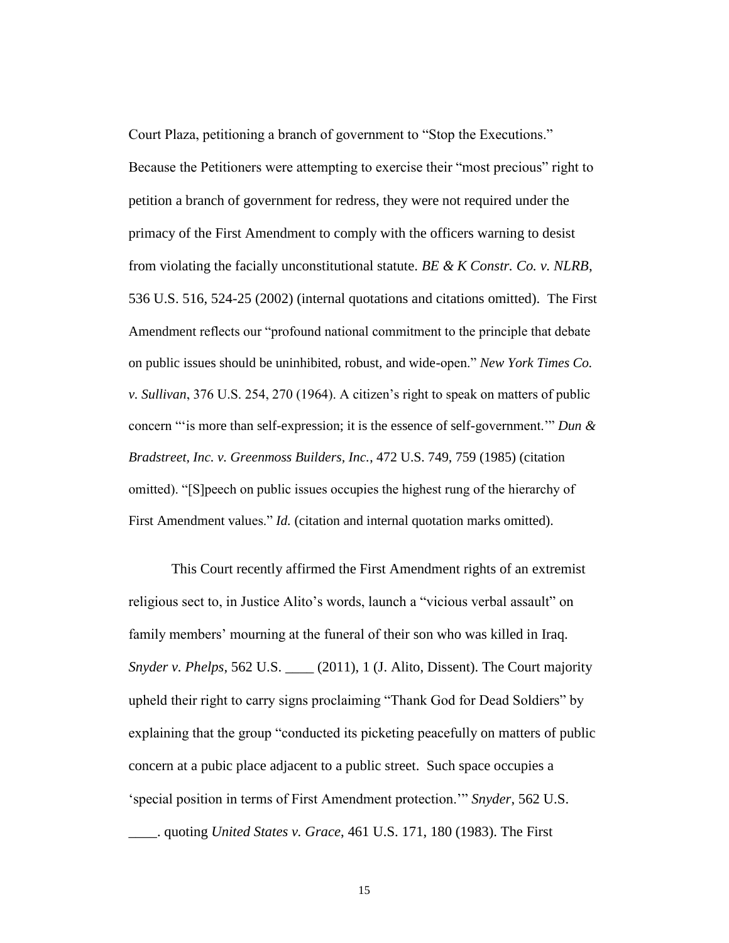Court Plaza, petitioning a branch of government to "Stop the Executions."

Because the Petitioners were attempting to exercise their "most precious" right to petition a branch of government for redress, they were not required under the primacy of the First Amendment to comply with the officers warning to desist from violating the facially unconstitutional statute. *BE & K Constr. Co. v. NLRB*, 536 U.S. 516, 524-25 (2002) (internal quotations and citations omitted). The First Amendment reflects our "profound national commitment to the principle that debate on public issues should be uninhibited, robust, and wide-open." *New York Times Co. v. Sullivan*, 376 U.S. 254, 270 (1964). A citizen's right to speak on matters of public concern "is more than self-expression; it is the essence of self-government." *Dun & Bradstreet, Inc. v. Greenmoss Builders, Inc.*, 472 U.S. 749, 759 (1985) (citation omitted). "[S]peech on public issues occupies the highest rung of the hierarchy of First Amendment values." *Id.* (citation and internal quotation marks omitted).

This Court recently affirmed the First Amendment rights of an extremist religious sect to, in Justice Alito's words, launch a "vicious verbal assault" on family members' mourning at the funeral of their son who was killed in Iraq. *Snyder v. Phelps*, 562 U.S. \_\_\_\_ (2011), 1 (J. Alito, Dissent). The Court majority upheld their right to carry signs proclaiming "Thank God for Dead Soldiers" by explaining that the group "conducted its picketing peacefully on matters of public concern at a pubic place adjacent to a public street. Such space occupies a ‗special position in terms of First Amendment protection.'‖ *Snyder*, 562 U.S. \_\_\_\_. quoting *United States v. Grace*, 461 U.S. 171, 180 (1983). The First

15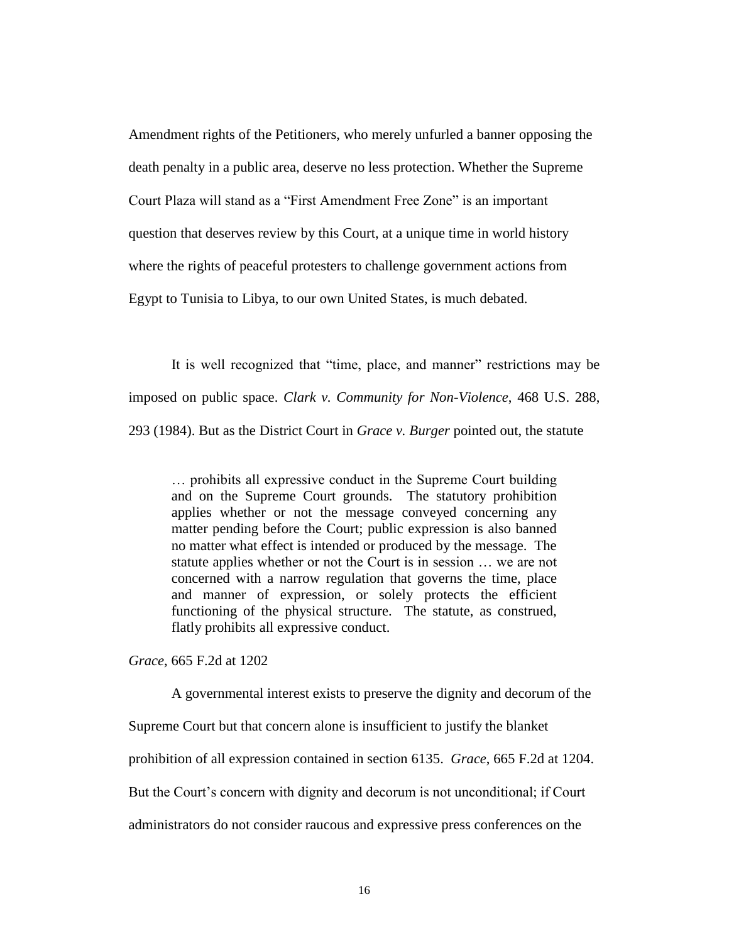Amendment rights of the Petitioners, who merely unfurled a banner opposing the death penalty in a public area, deserve no less protection. Whether the Supreme Court Plaza will stand as a "First Amendment Free Zone" is an important question that deserves review by this Court, at a unique time in world history where the rights of peaceful protesters to challenge government actions from Egypt to Tunisia to Libya, to our own United States, is much debated.

It is well recognized that "time, place, and manner" restrictions may be imposed on public space. *Clark v. Community for Non-Violence*, 468 U.S. 288, 293 (1984). But as the District Court in *Grace v. Burger* pointed out, the statute

… prohibits all expressive conduct in the Supreme Court building and on the Supreme Court grounds. The statutory prohibition applies whether or not the message conveyed concerning any matter pending before the Court; public expression is also banned no matter what effect is intended or produced by the message. The statute applies whether or not the Court is in session … we are not concerned with a narrow regulation that governs the time, place and manner of expression, or solely protects the efficient functioning of the physical structure. The statute, as construed, flatly prohibits all expressive conduct.

*Grace*, 665 F.2d at 1202

A governmental interest exists to preserve the dignity and decorum of the Supreme Court but that concern alone is insufficient to justify the blanket prohibition of all expression contained in section 6135. *Grace*, 665 F.2d at 1204. But the Court's concern with dignity and decorum is not unconditional; if Court administrators do not consider raucous and expressive press conferences on the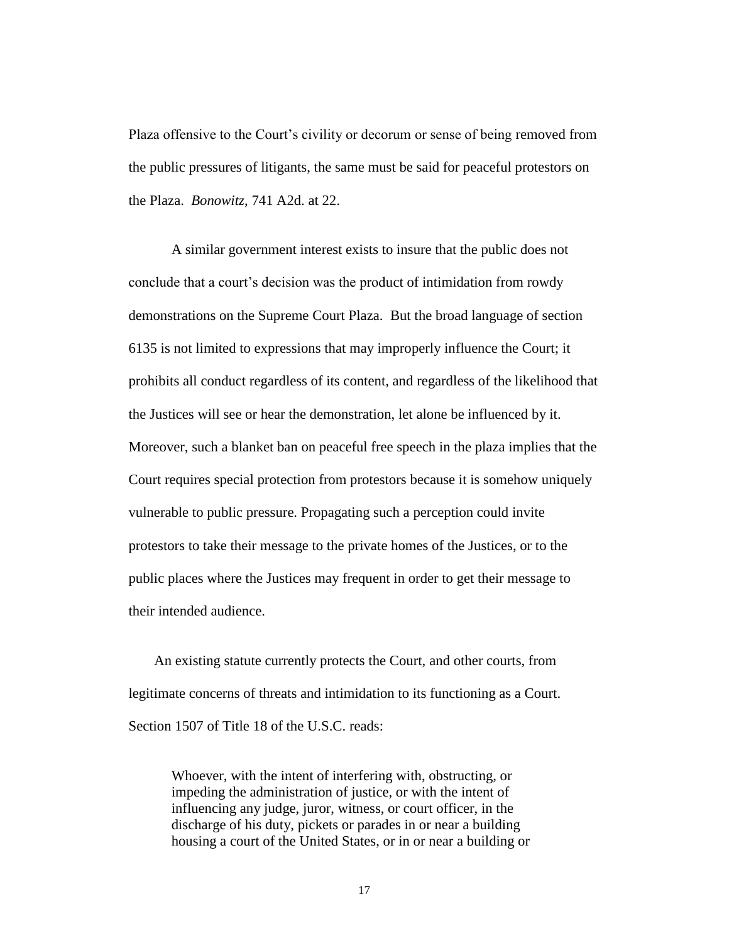Plaza offensive to the Court's civility or decorum or sense of being removed from the public pressures of litigants, the same must be said for peaceful protestors on the Plaza. *Bonowitz*, 741 A2d. at 22.

A similar government interest exists to insure that the public does not conclude that a court's decision was the product of intimidation from rowdy demonstrations on the Supreme Court Plaza. But the broad language of section 6135 is not limited to expressions that may improperly influence the Court; it prohibits all conduct regardless of its content, and regardless of the likelihood that the Justices will see or hear the demonstration, let alone be influenced by it. Moreover, such a blanket ban on peaceful free speech in the plaza implies that the Court requires special protection from protestors because it is somehow uniquely vulnerable to public pressure. Propagating such a perception could invite protestors to take their message to the private homes of the Justices, or to the public places where the Justices may frequent in order to get their message to their intended audience.

An existing statute currently protects the Court, and other courts, from legitimate concerns of threats and intimidation to its functioning as a Court. Section 1507 of Title 18 of the U.S.C. reads:

Whoever, with the intent of interfering with, obstructing, or impeding the administration of justice, or with the intent of influencing any judge, juror, witness, or court officer, in the discharge of his duty, pickets or parades in or near a building housing a court of the United States, or in or near a building or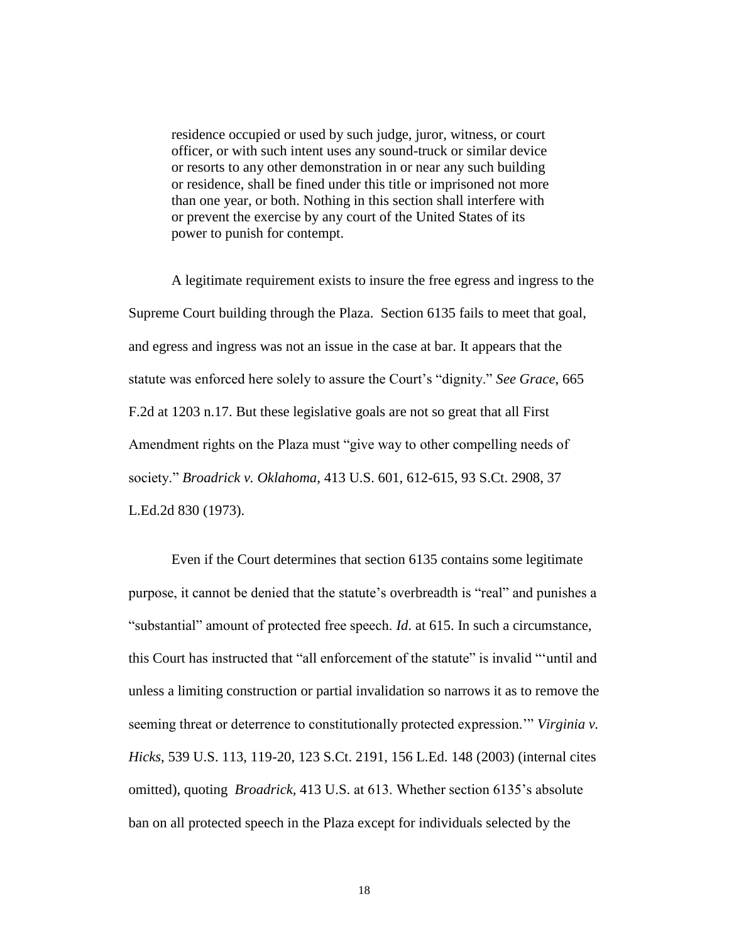residence occupied or used by such judge, juror, witness, or court officer, or with such intent uses any sound-truck or similar device or resorts to any other demonstration in or near any such building or residence, shall be fined under this title or imprisoned not more than one year, or both. Nothing in this section shall interfere with or prevent the exercise by any court of the United States of its power to punish for contempt.

A legitimate requirement exists to insure the free egress and ingress to the Supreme Court building through the Plaza. Section 6135 fails to meet that goal, and egress and ingress was not an issue in the case at bar. It appears that the statute was enforced here solely to assure the Court's "dignity." See Grace, 665 F.2d at 1203 n.17. But these legislative goals are not so great that all First Amendment rights on the Plaza must "give way to other compelling needs of society.‖ *Broadrick v. Oklahoma,* 413 U.S. 601, 612-615, 93 S.Ct. 2908, 37 L.Ed.2d 830 (1973).

Even if the Court determines that section 6135 contains some legitimate purpose, it cannot be denied that the statute's overbreadth is "real" and punishes a ―substantial‖ amount of protected free speech. *Id*. at 615. In such a circumstance, this Court has instructed that "all enforcement of the statute" is invalid ""until and unless a limiting construction or partial invalidation so narrows it as to remove the seeming threat or deterrence to constitutionally protected expression." *Virginia v. Hicks*, 539 U.S. 113, 119-20, 123 S.Ct. 2191, 156 L.Ed. 148 (2003) (internal cites omitted), quoting *Broadrick,* 413 U.S. at 613. Whether section 6135's absolute ban on all protected speech in the Plaza except for individuals selected by the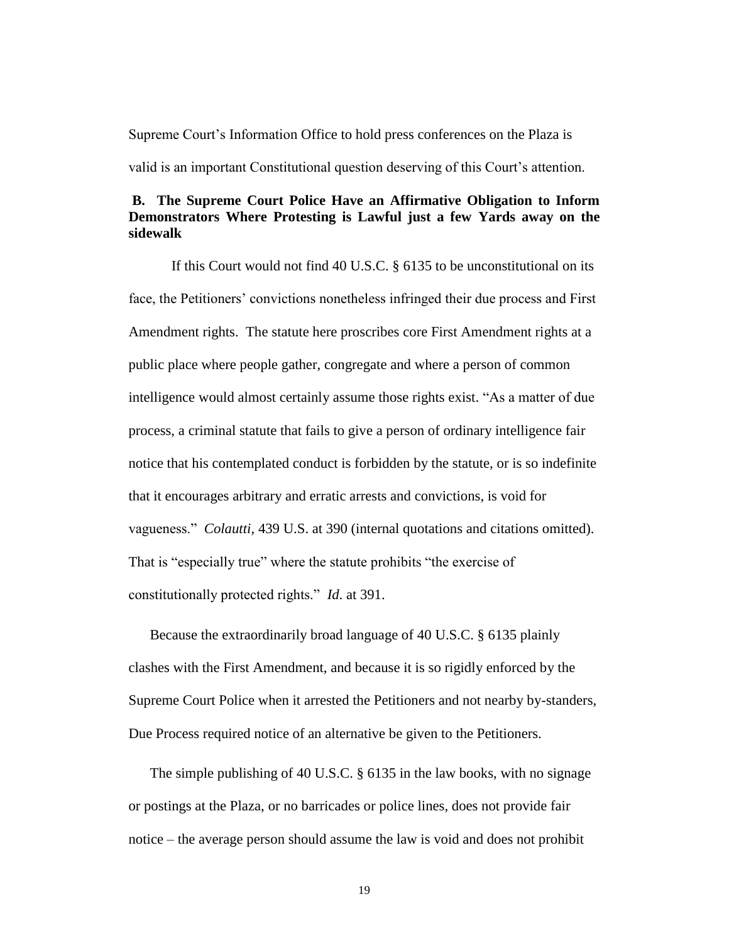Supreme Court's Information Office to hold press conferences on the Plaza is

valid is an important Constitutional question deserving of this Court's attention.

### **B. The Supreme Court Police Have an Affirmative Obligation to Inform Demonstrators Where Protesting is Lawful just a few Yards away on the sidewalk**

If this Court would not find 40 U.S.C. § 6135 to be unconstitutional on its face, the Petitioners' convictions nonetheless infringed their due process and First Amendment rights. The statute here proscribes core First Amendment rights at a public place where people gather, congregate and where a person of common intelligence would almost certainly assume those rights exist. "As a matter of due process, a criminal statute that fails to give a person of ordinary intelligence fair notice that his contemplated conduct is forbidden by the statute, or is so indefinite that it encourages arbitrary and erratic arrests and convictions, is void for vagueness.‖ *Colautti*, 439 U.S. at 390 (internal quotations and citations omitted). That is "especially true" where the statute prohibits "the exercise of constitutionally protected rights.‖ *Id*. at 391.

Because the extraordinarily broad language of 40 U.S.C. § 6135 plainly clashes with the First Amendment, and because it is so rigidly enforced by the Supreme Court Police when it arrested the Petitioners and not nearby by-standers, Due Process required notice of an alternative be given to the Petitioners.

The simple publishing of 40 U.S.C. § 6135 in the law books, with no signage or postings at the Plaza, or no barricades or police lines, does not provide fair notice – the average person should assume the law is void and does not prohibit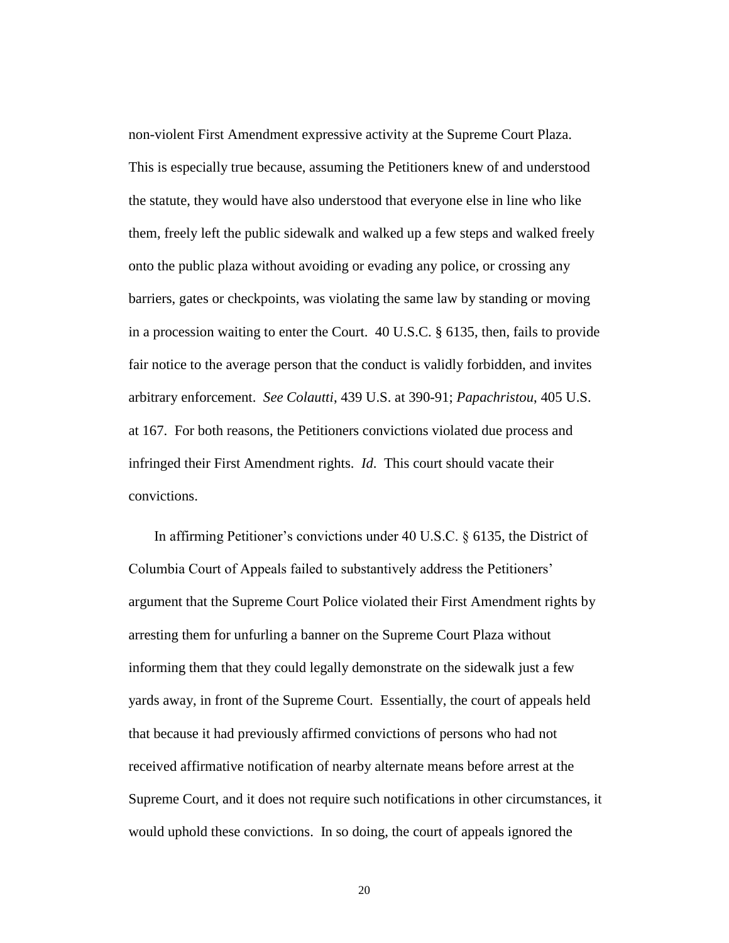non-violent First Amendment expressive activity at the Supreme Court Plaza. This is especially true because, assuming the Petitioners knew of and understood the statute, they would have also understood that everyone else in line who like them, freely left the public sidewalk and walked up a few steps and walked freely onto the public plaza without avoiding or evading any police, or crossing any barriers, gates or checkpoints, was violating the same law by standing or moving in a procession waiting to enter the Court. 40 U.S.C. § 6135, then, fails to provide fair notice to the average person that the conduct is validly forbidden, and invites arbitrary enforcement. *See Colautti*, 439 U.S. at 390-91; *Papachristou*, 405 U.S. at 167. For both reasons, the Petitioners convictions violated due process and infringed their First Amendment rights. *Id*. This court should vacate their convictions.

In affirming Petitioner's convictions under 40 U.S.C. § 6135, the District of Columbia Court of Appeals failed to substantively address the Petitioners' argument that the Supreme Court Police violated their First Amendment rights by arresting them for unfurling a banner on the Supreme Court Plaza without informing them that they could legally demonstrate on the sidewalk just a few yards away, in front of the Supreme Court. Essentially, the court of appeals held that because it had previously affirmed convictions of persons who had not received affirmative notification of nearby alternate means before arrest at the Supreme Court, and it does not require such notifications in other circumstances, it would uphold these convictions. In so doing, the court of appeals ignored the

20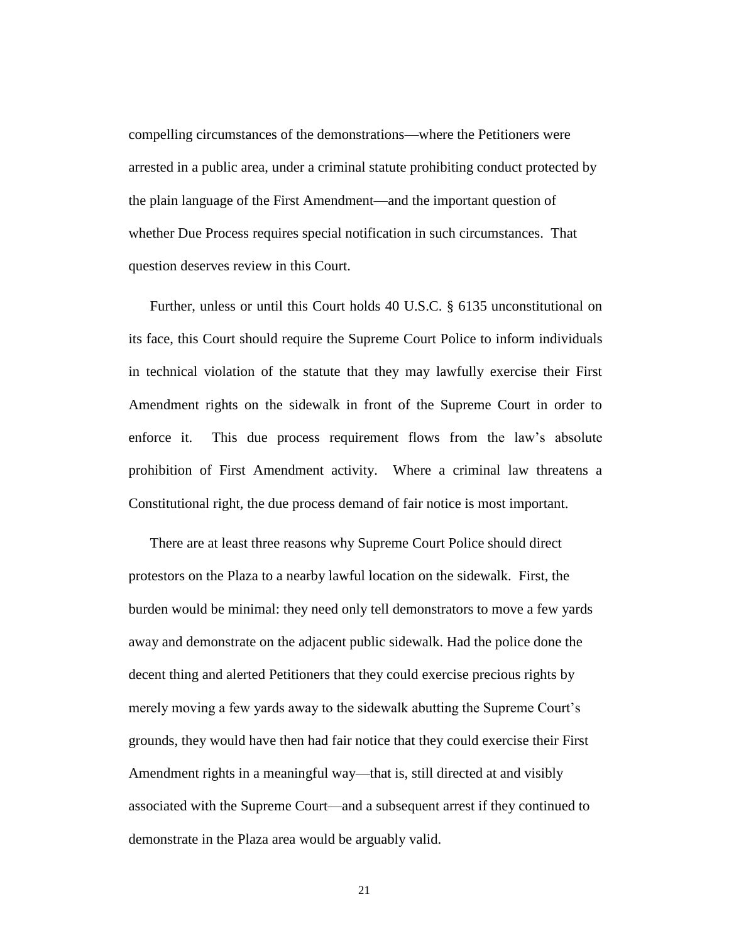compelling circumstances of the demonstrations—where the Petitioners were arrested in a public area, under a criminal statute prohibiting conduct protected by the plain language of the First Amendment—and the important question of whether Due Process requires special notification in such circumstances. That question deserves review in this Court.

Further, unless or until this Court holds 40 U.S.C. § 6135 unconstitutional on its face, this Court should require the Supreme Court Police to inform individuals in technical violation of the statute that they may lawfully exercise their First Amendment rights on the sidewalk in front of the Supreme Court in order to enforce it. This due process requirement flows from the law's absolute prohibition of First Amendment activity. Where a criminal law threatens a Constitutional right, the due process demand of fair notice is most important.

There are at least three reasons why Supreme Court Police should direct protestors on the Plaza to a nearby lawful location on the sidewalk. First, the burden would be minimal: they need only tell demonstrators to move a few yards away and demonstrate on the adjacent public sidewalk. Had the police done the decent thing and alerted Petitioners that they could exercise precious rights by merely moving a few yards away to the sidewalk abutting the Supreme Court's grounds, they would have then had fair notice that they could exercise their First Amendment rights in a meaningful way—that is, still directed at and visibly associated with the Supreme Court—and a subsequent arrest if they continued to demonstrate in the Plaza area would be arguably valid.

21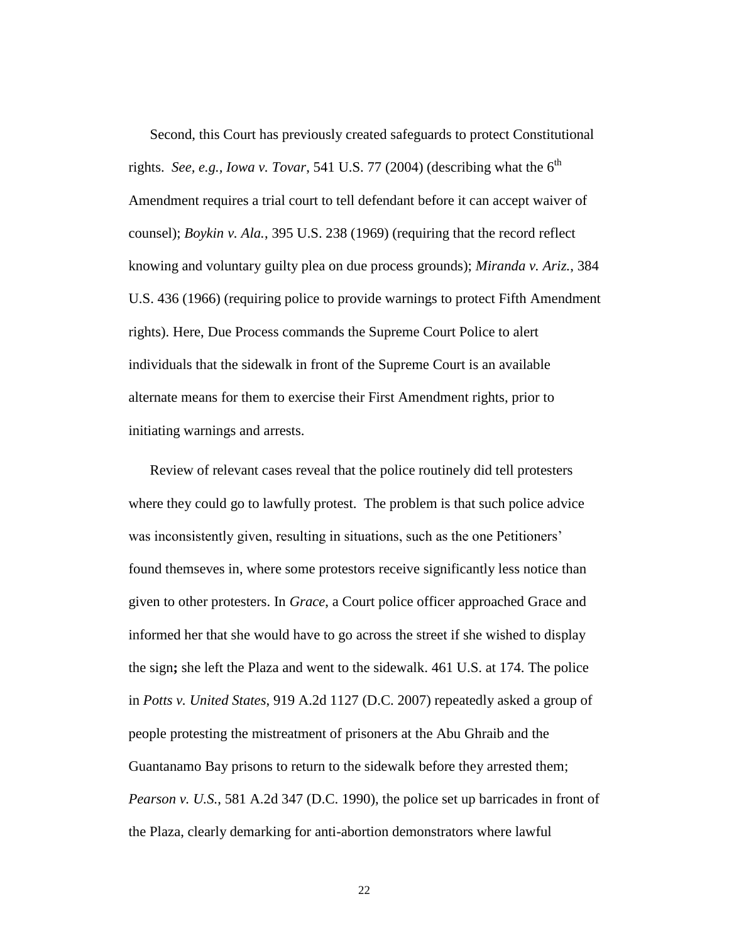Second, this Court has previously created safeguards to protect Constitutional rights. *See, e.g., Iowa v. Tovar*, 541 U.S. 77 (2004) (describing what the  $6<sup>th</sup>$ Amendment requires a trial court to tell defendant before it can accept waiver of counsel); *Boykin v. Ala.*, 395 U.S. 238 (1969) (requiring that the record reflect knowing and voluntary guilty plea on due process grounds); *Miranda v. Ariz.*, 384 U.S. 436 (1966) (requiring police to provide warnings to protect Fifth Amendment rights). Here, Due Process commands the Supreme Court Police to alert individuals that the sidewalk in front of the Supreme Court is an available alternate means for them to exercise their First Amendment rights, prior to initiating warnings and arrests.

Review of relevant cases reveal that the police routinely did tell protesters where they could go to lawfully protest. The problem is that such police advice was inconsistently given, resulting in situations, such as the one Petitioners' found themseves in, where some protestors receive significantly less notice than given to other protesters. In *Grace*, a Court police officer approached Grace and informed her that she would have to go across the street if she wished to display the sign**;** she left the Plaza and went to the sidewalk. 461 U.S. at 174. The police in *Potts v. United States*, 919 A.2d 1127 (D.C. 2007) repeatedly asked a group of people protesting the mistreatment of prisoners at the Abu Ghraib and the Guantanamo Bay prisons to return to the sidewalk before they arrested them; *Pearson v. U.S.*, 581 A.2d 347 (D.C. 1990), the police set up barricades in front of the Plaza, clearly demarking for anti-abortion demonstrators where lawful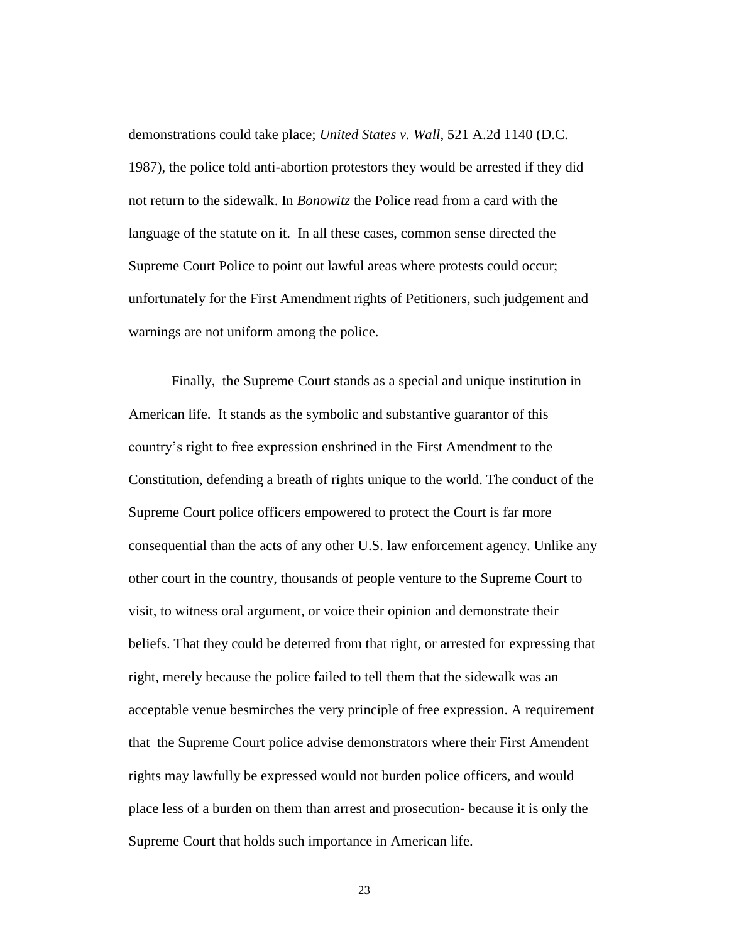demonstrations could take place; *United States v. Wall*, 521 A.2d 1140 (D.C. 1987), the police told anti-abortion protestors they would be arrested if they did not return to the sidewalk. In *Bonowitz* the Police read from a card with the language of the statute on it. In all these cases, common sense directed the Supreme Court Police to point out lawful areas where protests could occur; unfortunately for the First Amendment rights of Petitioners, such judgement and warnings are not uniform among the police.

Finally, the Supreme Court stands as a special and unique institution in American life. It stands as the symbolic and substantive guarantor of this country's right to free expression enshrined in the First Amendment to the Constitution, defending a breath of rights unique to the world. The conduct of the Supreme Court police officers empowered to protect the Court is far more consequential than the acts of any other U.S. law enforcement agency. Unlike any other court in the country, thousands of people venture to the Supreme Court to visit, to witness oral argument, or voice their opinion and demonstrate their beliefs. That they could be deterred from that right, or arrested for expressing that right, merely because the police failed to tell them that the sidewalk was an acceptable venue besmirches the very principle of free expression. A requirement that the Supreme Court police advise demonstrators where their First Amendent rights may lawfully be expressed would not burden police officers, and would place less of a burden on them than arrest and prosecution- because it is only the Supreme Court that holds such importance in American life.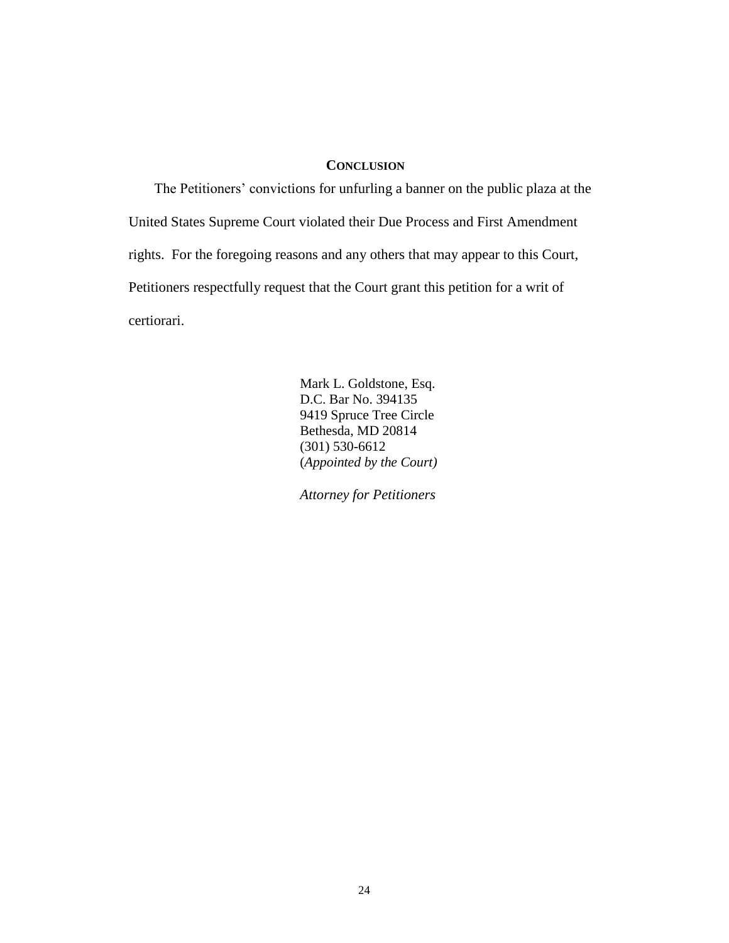### **CONCLUSION**

The Petitioners' convictions for unfurling a banner on the public plaza at the United States Supreme Court violated their Due Process and First Amendment rights. For the foregoing reasons and any others that may appear to this Court, Petitioners respectfully request that the Court grant this petition for a writ of certiorari.

> Mark L. Goldstone, Esq. D.C. Bar No. 394135 9419 Spruce Tree Circle Bethesda, MD 20814 (301) 530-6612 (*Appointed by the Court)*

 *Attorney for Petitioners*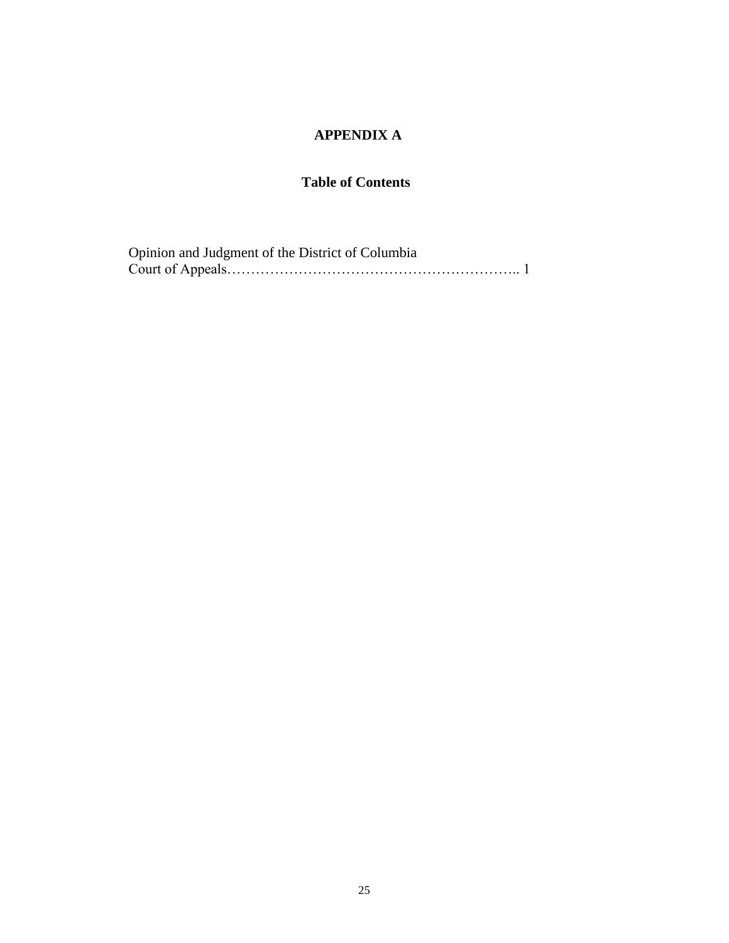# **APPENDIX A**

## **Table of Contents**

| Opinion and Judgment of the District of Columbia |  |
|--------------------------------------------------|--|
|                                                  |  |